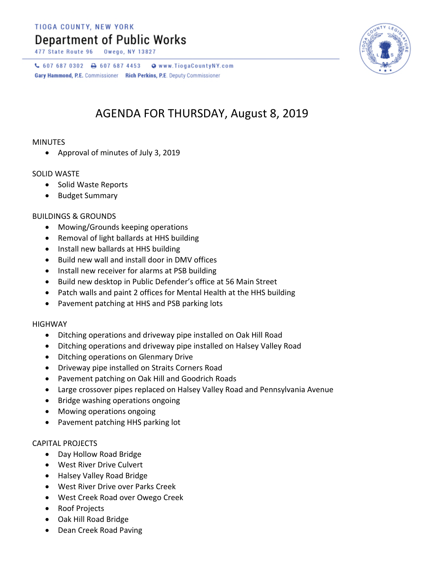TIOGA COUNTY, NEW YORK

## **Department of Public Works**

477 State Route 96

 $C$  607 687 0302  $D$  607 687 4453 Www.TiogaCountyNY.com Gary Hammond, P.E. Commissioner Rich Perkins, P.E. Deputy Commissioner

## AGENDA FOR THURSDAY, August 8, 2019

## MINUTES

Approval of minutes of July 3, 2019

## SOLID WASTE

- Solid Waste Reports
- Budget Summary

## BUILDINGS & GROUNDS

- Mowing/Grounds keeping operations
- Removal of light ballards at HHS building
- Install new ballards at HHS building
- Build new wall and install door in DMV offices
- Install new receiver for alarms at PSB building
- Build new desktop in Public Defender's office at 56 Main Street
- Patch walls and paint 2 offices for Mental Health at the HHS building
- Pavement patching at HHS and PSB parking lots

#### HIGHWAY

- Ditching operations and driveway pipe installed on Oak Hill Road
- Ditching operations and driveway pipe installed on Halsey Valley Road
- Ditching operations on Glenmary Drive
- Driveway pipe installed on Straits Corners Road
- Pavement patching on Oak Hill and Goodrich Roads
- Large crossover pipes replaced on Halsey Valley Road and Pennsylvania Avenue
- Bridge washing operations ongoing
- Mowing operations ongoing
- Pavement patching HHS parking lot

## CAPITAL PROJECTS

- Day Hollow Road Bridge
- West River Drive Culvert
- Halsey Valley Road Bridge
- West River Drive over Parks Creek
- West Creek Road over Owego Creek
- Roof Projects
- Oak Hill Road Bridge
- Dean Creek Road Paving